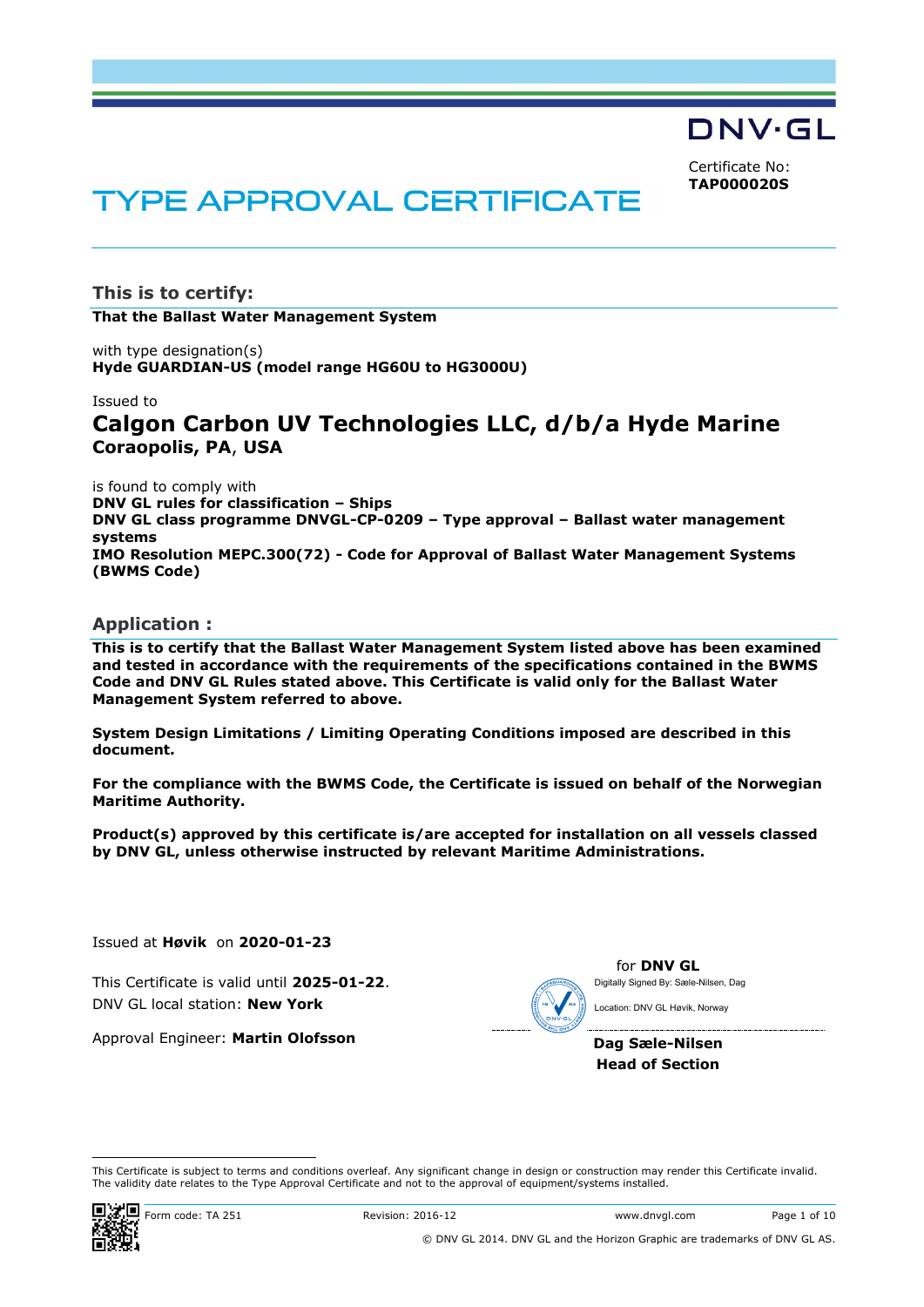DNV·GL

Certificate No: **TAP000020S**

# **TYPE APPROVAL CERTIFICATE**

**This is to certify: That the Ballast Water Management System**

with type designation(s) **Hyde GUARDIAN-US (model range HG60U to HG3000U)**

#### Issued to

# **Calgon Carbon UV Technologies LLC, d/b/a Hyde Marine Coraopolis, PA**, **USA**

is found to comply with **DNV GL rules for classification – Ships DNV GL class programme DNVGL-CP-0209 – Type approval – Ballast water management systems IMO Resolution MEPC.300(72) - Code for Approval of Ballast Water Management Systems (BWMS Code)**

## **Application :**

**This is to certify that the Ballast Water Management System listed above has been examined and tested in accordance with the requirements of the specifications contained in the BWMS Code and DNV GL Rules stated above. This Certificate is valid only for the Ballast Water Management System referred to above.**

**System Design Limitations / Limiting Operating Conditions imposed are described in this document.**

**For the compliance with the BWMS Code, the Certificate is issued on behalf of the Norwegian Maritime Authority.**

**Product(s) approved by this certificate is/are accepted for installation on all vessels classed by DNV GL, unless otherwise instructed by relevant Maritime Administrations.**

Issued at **Høvik** on **2020-01-23**

This Certificate is valid until **2025-01-22**. DNV GL local station: **New York**

Approval Engineer: **Martin Olofsson**

for **DNV GL** Digitally Signed By: Sæle-Nilsen, Dag Location: DNV GL Høvik, Norway

**Dag Sæle-Nilsen Head of Section**

This Certificate is subject to terms and conditions overleaf. Any significant change in design or construction may render this Certificate invalid. The validity date relates to the Type Approval Certificate and not to the approval of equipment/systems installed.



i<br>I

**Form code: TA 251** Revision: 2016-12 www.dnvgl.com Page 1 of 10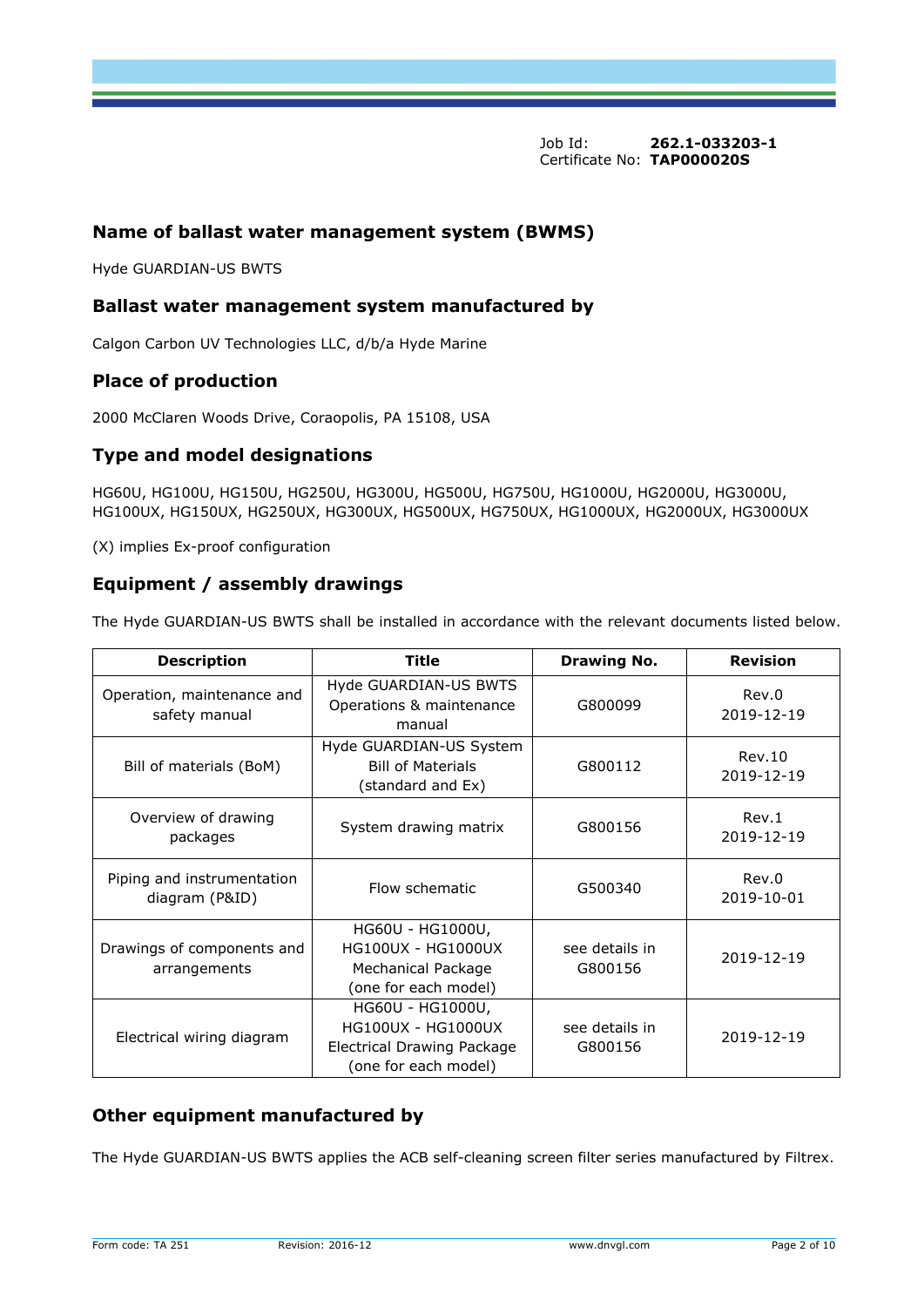# **Name of ballast water management system (BWMS)**

Hyde GUARDIAN-US BWTS

## **Ballast water management system manufactured by**

Calgon Carbon UV Technologies LLC, d/b/a Hyde Marine

# **Place of production**

2000 McClaren Woods Drive, Coraopolis, PA 15108, USA

# **Type and model designations**

HG60U, HG100U, HG150U, HG250U, HG300U, HG500U, HG750U, HG1000U, HG2000U, HG3000U, HG100UX, HG150UX, HG250UX, HG300UX, HG500UX, HG750UX, HG1000UX, HG2000UX, HG3000UX

(X) implies Ex-proof configuration

# **Equipment / assembly drawings**

The Hyde GUARDIAN-US BWTS shall be installed in accordance with the relevant documents listed below.

| <b>Description</b>                           | Title                                                                                               | <b>Drawing No.</b>        | Revision            |
|----------------------------------------------|-----------------------------------------------------------------------------------------------------|---------------------------|---------------------|
| Operation, maintenance and<br>safety manual  | Hyde GUARDIAN-US BWTS<br>Operations & maintenance<br>G800099<br>manual                              |                           | Rev.0<br>2019-12-19 |
| Bill of materials (BoM)                      | Hyde GUARDIAN-US System<br><b>Bill of Materials</b><br>(standard and Ex)                            | G800112                   |                     |
| Overview of drawing<br>packages              | System drawing matrix                                                                               | G800156                   | Rev.1<br>2019-12-19 |
| Piping and instrumentation<br>diagram (P&ID) | Flow schematic                                                                                      | G500340                   | Rev.0<br>2019-10-01 |
| Drawings of components and<br>arrangements   | HG60U - HG1000U,<br><b>HG100UX - HG1000UX</b><br><b>Mechanical Package</b><br>(one for each model)  | see details in<br>G800156 | 2019-12-19          |
| Electrical wiring diagram                    | HG60U - HG1000U,<br><b>HG100UX - HG1000UX</b><br>Electrical Drawing Package<br>(one for each model) | see details in<br>G800156 | 2019-12-19          |

# **Other equipment manufactured by**

The Hyde GUARDIAN-US BWTS applies the ACB self-cleaning screen filter series manufactured by Filtrex.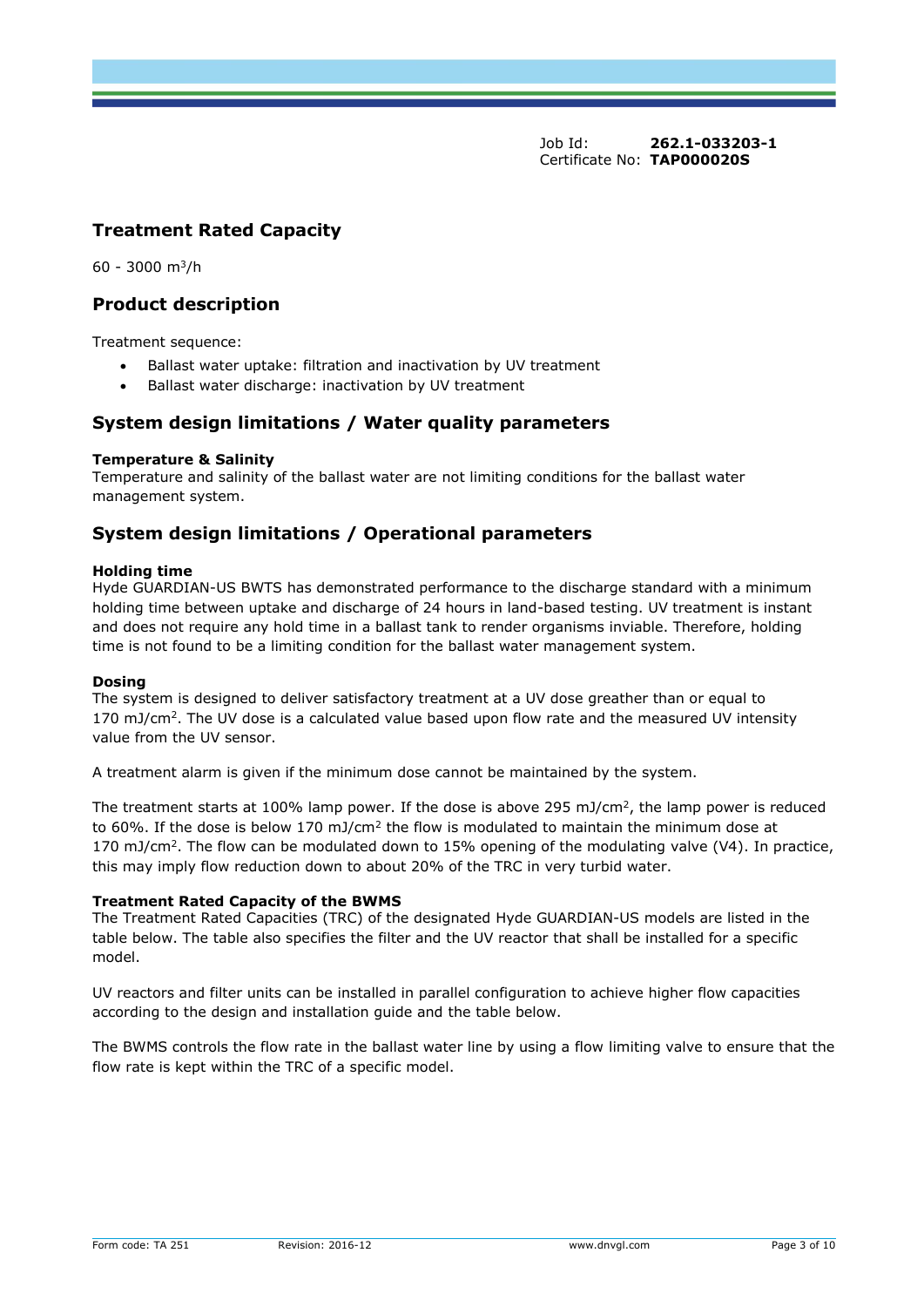# **Treatment Rated Capacity**

 $60 - 3000$  m<sup>3</sup>/h

# **Product description**

Treatment sequence:

- Ballast water uptake: filtration and inactivation by UV treatment
- Ballast water discharge: inactivation by UV treatment

# **System design limitations / Water quality parameters**

#### **Temperature & Salinity**

Temperature and salinity of the ballast water are not limiting conditions for the ballast water management system.

# **System design limitations / Operational parameters**

#### **Holding time**

Hyde GUARDIAN-US BWTS has demonstrated performance to the discharge standard with a minimum holding time between uptake and discharge of 24 hours in land-based testing. UV treatment is instant and does not require any hold time in a ballast tank to render organisms inviable. Therefore, holding time is not found to be a limiting condition for the ballast water management system.

#### **Dosing**

The system is designed to deliver satisfactory treatment at a UV dose greather than or equal to 170 mJ/cm<sup>2</sup>. The UV dose is a calculated value based upon flow rate and the measured UV intensity value from the UV sensor.

A treatment alarm is given if the minimum dose cannot be maintained by the system.

The treatment starts at 100% lamp power. If the dose is above 295 mJ/cm<sup>2</sup>, the lamp power is reduced to 60%. If the dose is below 170 mJ/cm<sup>2</sup> the flow is modulated to maintain the minimum dose at 170 mJ/cm<sup>2</sup> . The flow can be modulated down to 15% opening of the modulating valve (V4). In practice, this may imply flow reduction down to about 20% of the TRC in very turbid water.

#### **Treatment Rated Capacity of the BWMS**

The Treatment Rated Capacities (TRC) of the designated Hyde GUARDIAN-US models are listed in the table below. The table also specifies the filter and the UV reactor that shall be installed for a specific model.

UV reactors and filter units can be installed in parallel configuration to achieve higher flow capacities according to the design and installation guide and the table below.

The BWMS controls the flow rate in the ballast water line by using a flow limiting valve to ensure that the flow rate is kept within the TRC of a specific model.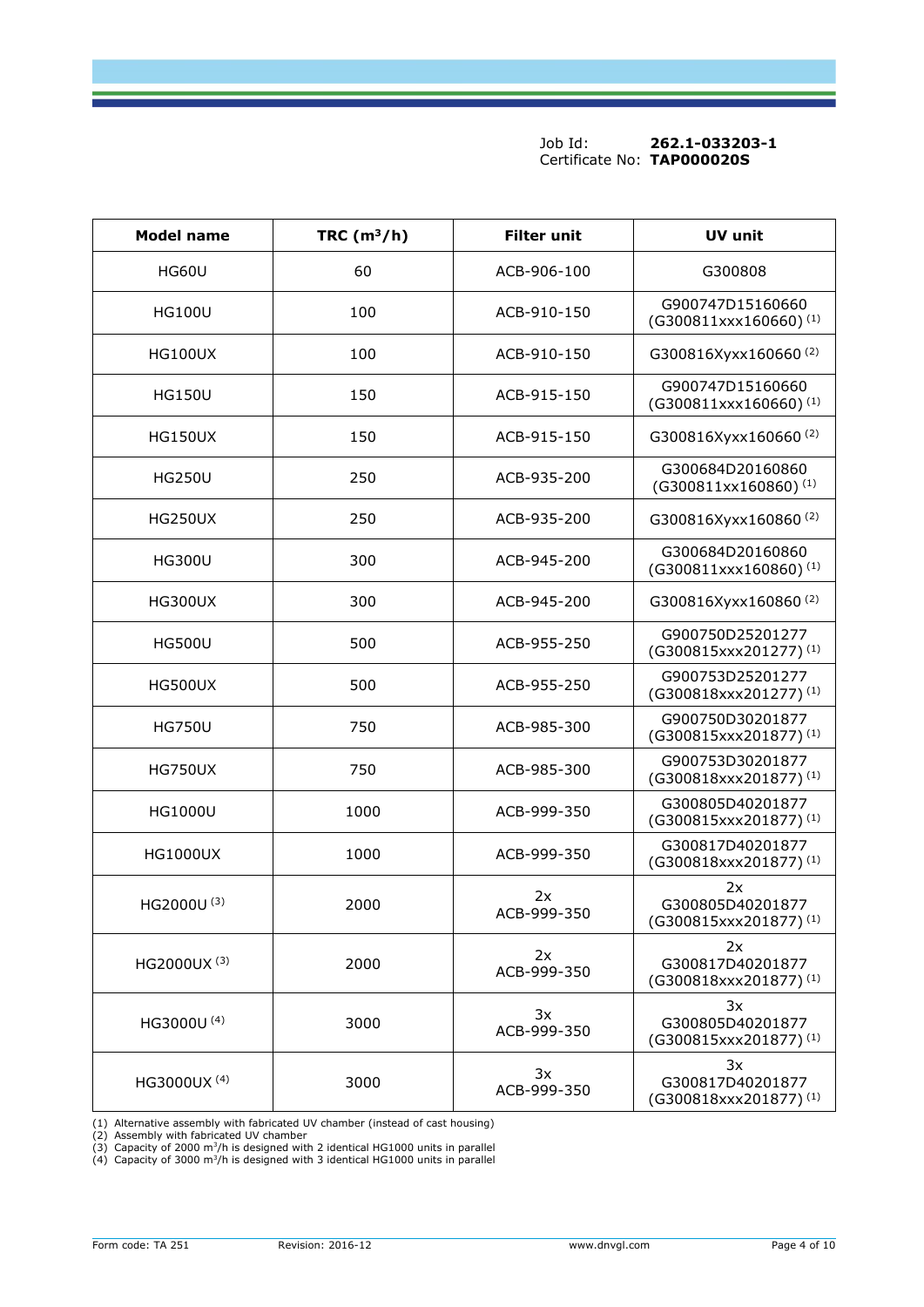| <b>Model name</b> | TRC $(m^3/h)$ | <b>Filter unit</b> | UV unit                                                     |
|-------------------|---------------|--------------------|-------------------------------------------------------------|
| <b>HG60U</b>      | 60            | ACB-906-100        | G300808                                                     |
| <b>HG100U</b>     | 100           | ACB-910-150        | G900747D15160660<br>$(G300811$ xxx160660) <sup>(1)</sup>    |
| HG100UX           | 100           | ACB-910-150        | G300816Xyxx160660(2)                                        |
| <b>HG150U</b>     | 150           | ACB-915-150        | G900747D15160660<br>(G300811xxx160660) <sup>(1)</sup>       |
| <b>HG150UX</b>    | 150           | ACB-915-150        | G300816Xyxx160660(2)                                        |
| <b>HG250U</b>     | 250           | ACB-935-200        | G300684D20160860<br>(G300811xx160860) <sup>(1)</sup>        |
| <b>HG250UX</b>    | 250           | ACB-935-200        | G300816Xyxx160860(2)                                        |
| <b>HG300U</b>     | 300           | ACB-945-200        | G300684D20160860<br>(G300811xxx160860) <sup>(1)</sup>       |
| <b>HG300UX</b>    | 300           | ACB-945-200        | G300816Xyxx160860(2)                                        |
| <b>HG500U</b>     | 500           | ACB-955-250        | G900750D25201277<br>(G300815xxx201277) <sup>(1)</sup>       |
| HG500UX           | 500           | ACB-955-250        | G900753D25201277<br>(G300818xxx201277) <sup>(1)</sup>       |
| <b>HG750U</b>     | 750           | ACB-985-300        | G900750D30201877<br>(G300815xxx201877) <sup>(1)</sup>       |
| <b>HG750UX</b>    | 750           | ACB-985-300        | G900753D30201877<br>(G300818xxx201877) <sup>(1)</sup>       |
| <b>HG1000U</b>    | 1000          | ACB-999-350        | G300805D40201877<br>(G300815xxx201877) <sup>(1)</sup>       |
| <b>HG1000UX</b>   | 1000          | ACB-999-350        | G300817D40201877<br>(G300818xxx201877) <sup>(1)</sup>       |
| HG2000U(3)        | 2000          | 2x<br>ACB-999-350  | 2x<br>G300805D40201877<br>(G300815xxx201877) <sup>(1)</sup> |
| HG2000UX (3)      | 2000          | 2x<br>ACB-999-350  | 2x<br>G300817D40201877<br>(G300818xxx201877) <sup>(1)</sup> |
| HG3000U (4)       | 3000          | 3x<br>ACB-999-350  | 3x<br>G300805D40201877<br>(G300815xxx201877) <sup>(1)</sup> |
| HG3000UX (4)      | 3000          | 3x<br>ACB-999-350  | 3x<br>G300817D40201877<br>(G300818xxx201877) <sup>(1)</sup> |

(1) Alternative assembly with fabricated UV chamber (instead of cast housing)<br>(2) Assembly with fabricated UV chamber<br>(3) Capacity of 2000 m<sup>3</sup>/h is designed with 2 identical HG1000 units in parallel<br>(4) Capacity of 3000 m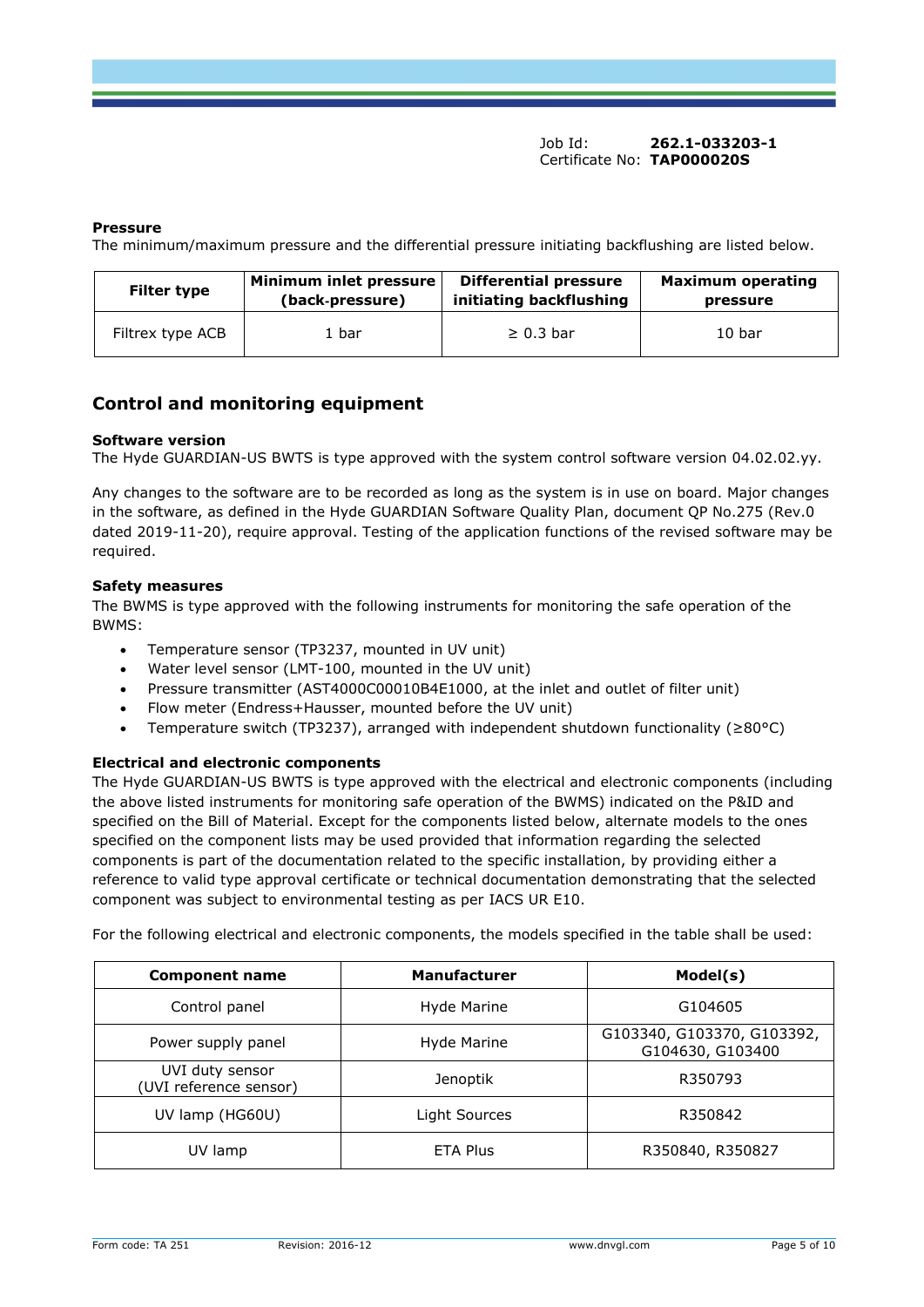#### **Pressure**

The minimum/maximum pressure and the differential pressure initiating backflushing are listed below.

| <b>Filter type</b> | Minimum inlet pressure | <b>Differential pressure</b> | <b>Maximum operating</b> |  |  |
|--------------------|------------------------|------------------------------|--------------------------|--|--|
|                    | (back-pressure)        | initiating backflushing      | pressure                 |  |  |
| Filtrex type ACB   | 1 bar                  | $\geq 0.3$ bar               | 10 <sub>bar</sub>        |  |  |

# **Control and monitoring equipment**

#### **Software version**

The Hyde GUARDIAN-US BWTS is type approved with the system control software version 04.02.02.yy.

Any changes to the software are to be recorded as long as the system is in use on board. Major changes in the software, as defined in the Hyde GUARDIAN Software Quality Plan, document QP No.275 (Rev.0 dated 2019-11-20), require approval. Testing of the application functions of the revised software may be required.

#### **Safety measures**

The BWMS is type approved with the following instruments for monitoring the safe operation of the BWMS:

- Temperature sensor (TP3237, mounted in UV unit)
- Water level sensor (LMT-100, mounted in the UV unit)
- Pressure transmitter (AST4000C00010B4E1000, at the inlet and outlet of filter unit)
- Flow meter (Endress+Hausser, mounted before the UV unit)
- Temperature switch (TP3237), arranged with independent shutdown functionality ( $\geq 80^{\circ}$ C)

#### **Electrical and electronic components**

The Hyde GUARDIAN-US BWTS is type approved with the electrical and electronic components (including the above listed instruments for monitoring safe operation of the BWMS) indicated on the P&ID and specified on the Bill of Material. Except for the components listed below, alternate models to the ones specified on the component lists may be used provided that information regarding the selected components is part of the documentation related to the specific installation, by providing either a reference to valid type approval certificate or technical documentation demonstrating that the selected component was subject to environmental testing as per IACS UR E10.

For the following electrical and electronic components, the models specified in the table shall be used:

| <b>Component name</b>                     | <b>Manufacturer</b> | Model(s)                                       |
|-------------------------------------------|---------------------|------------------------------------------------|
| Control panel                             | Hyde Marine         | G104605                                        |
| Power supply panel                        | Hyde Marine         | G103340, G103370, G103392,<br>G104630, G103400 |
| UVI duty sensor<br>(UVI reference sensor) | Jenoptik            | R350793                                        |
| UV lamp (HG60U)                           | Light Sources       | R350842                                        |
| UV lamp                                   | <b>ETA Plus</b>     | R350840, R350827                               |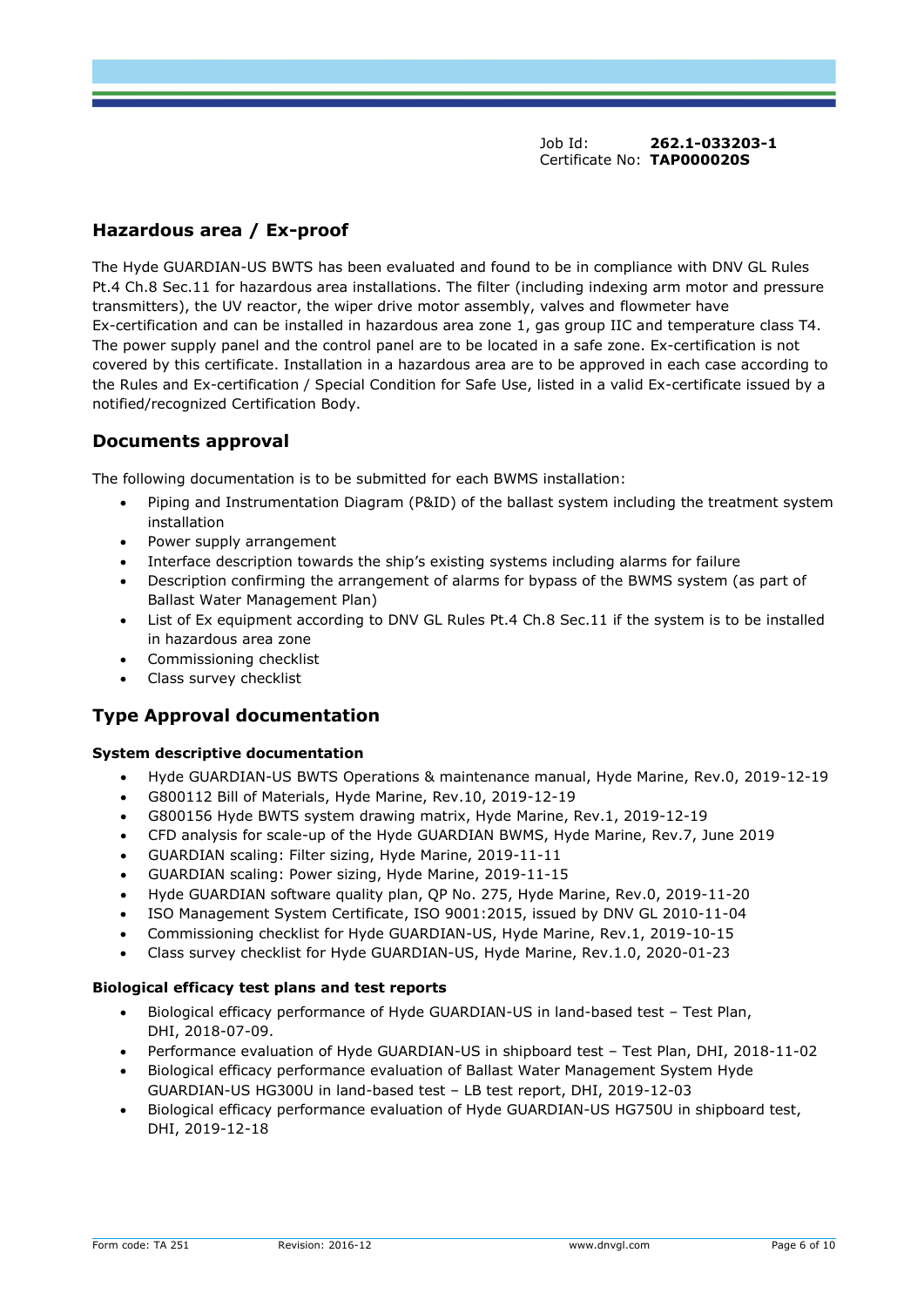# **Hazardous area / Ex-proof**

The Hyde GUARDIAN-US BWTS has been evaluated and found to be in compliance with DNV GL Rules Pt.4 Ch.8 Sec.11 for hazardous area installations. The filter (including indexing arm motor and pressure transmitters), the UV reactor, the wiper drive motor assembly, valves and flowmeter have Ex-certification and can be installed in hazardous area zone 1, gas group IIC and temperature class T4. The power supply panel and the control panel are to be located in a safe zone. Ex-certification is not covered by this certificate. Installation in a hazardous area are to be approved in each case according to the Rules and Ex-certification / Special Condition for Safe Use, listed in a valid Ex-certificate issued by a notified/recognized Certification Body.

# **Documents approval**

The following documentation is to be submitted for each BWMS installation:

- Piping and Instrumentation Diagram (P&ID) of the ballast system including the treatment system installation
- Power supply arrangement
- Interface description towards the ship's existing systems including alarms for failure
- Description confirming the arrangement of alarms for bypass of the BWMS system (as part of Ballast Water Management Plan)
- List of Ex equipment according to DNV GL Rules Pt.4 Ch.8 Sec.11 if the system is to be installed in hazardous area zone
- Commissioning checklist
- Class survey checklist

# **Type Approval documentation**

#### **System descriptive documentation**

- Hyde GUARDIAN-US BWTS Operations & maintenance manual, Hyde Marine, Rev.0, 2019-12-19
- G800112 Bill of Materials, Hyde Marine, Rev.10, 2019-12-19
- G800156 Hyde BWTS system drawing matrix, Hyde Marine, Rev.1, 2019-12-19
- CFD analysis for scale-up of the Hyde GUARDIAN BWMS, Hyde Marine, Rev.7, June 2019
- GUARDIAN scaling: Filter sizing, Hyde Marine, 2019-11-11
- GUARDIAN scaling: Power sizing, Hyde Marine, 2019-11-15
- Hyde GUARDIAN software quality plan, QP No. 275, Hyde Marine, Rev.0, 2019-11-20
- ISO Management System Certificate, ISO 9001:2015, issued by DNV GL 2010-11-04
- Commissioning checklist for Hyde GUARDIAN-US, Hyde Marine, Rev.1, 2019-10-15
- Class survey checklist for Hyde GUARDIAN-US, Hyde Marine, Rev.1.0, 2020-01-23

#### **Biological efficacy test plans and test reports**

- Biological efficacy performance of Hyde GUARDIAN-US in land-based test Test Plan, DHI, 2018-07-09.
- Performance evaluation of Hyde GUARDIAN-US in shipboard test Test Plan, DHI, 2018-11-02
- Biological efficacy performance evaluation of Ballast Water Management System Hyde GUARDIAN-US HG300U in land-based test – LB test report, DHI, 2019-12-03
- Biological efficacy performance evaluation of Hyde GUARDIAN-US HG750U in shipboard test, DHI, 2019-12-18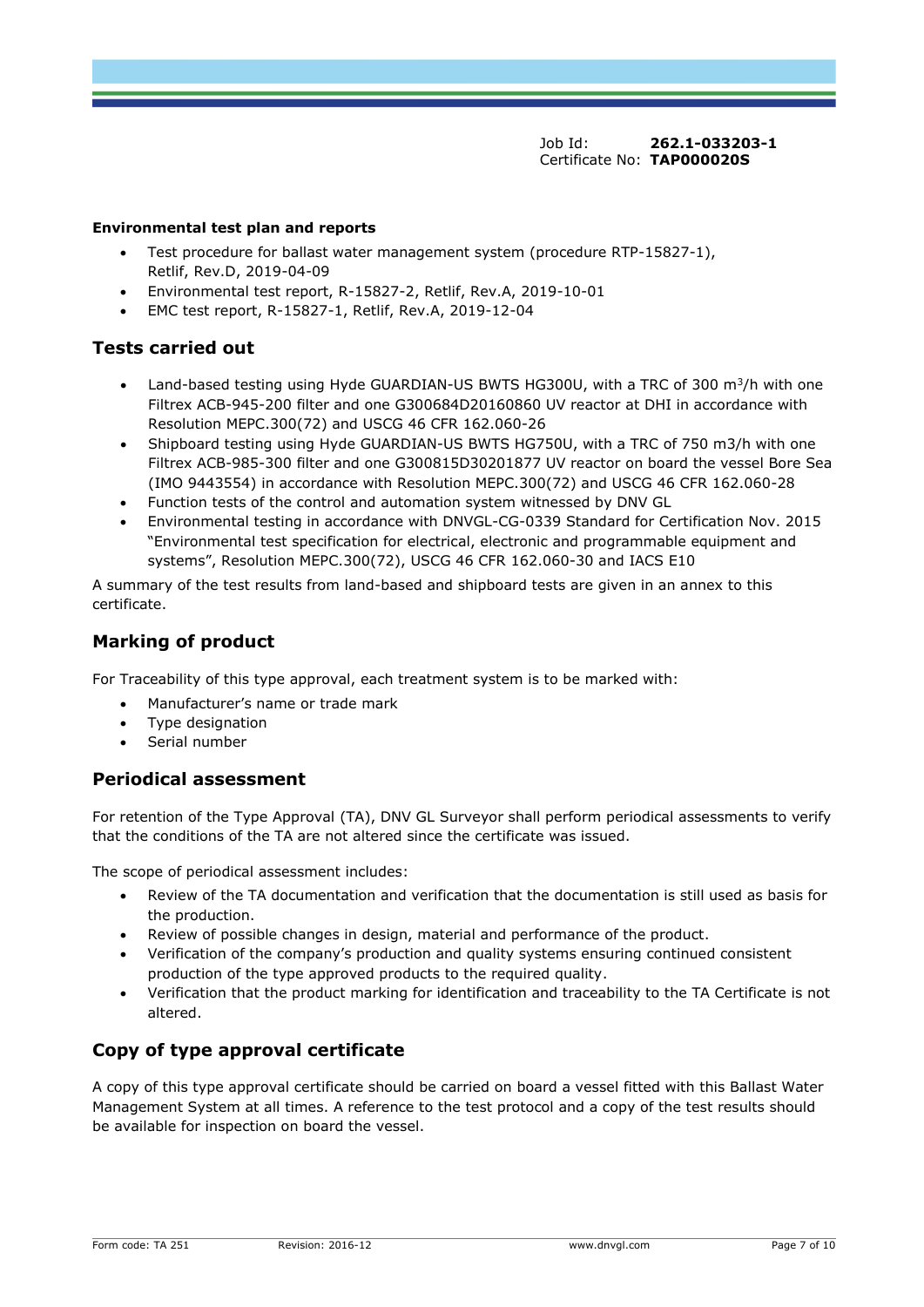#### **Environmental test plan and reports**

- Test procedure for ballast water management system (procedure RTP-15827-1), Retlif, Rev.D, 2019-04-09
- Environmental test report, R-15827-2, Retlif, Rev.A, 2019-10-01
- EMC test report, R-15827-1, Retlif, Rev.A, 2019-12-04

# **Tests carried out**

- Land-based testing using Hyde GUARDIAN-US BWTS HG300U, with a TRC of 300  $m^3/h$  with one Filtrex ACB-945-200 filter and one G300684D20160860 UV reactor at DHI in accordance with Resolution MEPC.300(72) and USCG 46 CFR 162.060-26
- Shipboard testing using Hyde GUARDIAN-US BWTS HG750U, with a TRC of 750 m3/h with one Filtrex ACB-985-300 filter and one G300815D30201877 UV reactor on board the vessel Bore Sea (IMO 9443554) in accordance with Resolution MEPC.300(72) and USCG 46 CFR 162.060-28
- Function tests of the control and automation system witnessed by DNV GL
- Environmental testing in accordance with DNVGL-CG-0339 Standard for Certification Nov. 2015 "Environmental test specification for electrical, electronic and programmable equipment and systems", Resolution MEPC.300(72), USCG 46 CFR 162.060-30 and IACS E10

A summary of the test results from land-based and shipboard tests are given in an annex to this certificate.

# **Marking of product**

For Traceability of this type approval, each treatment system is to be marked with:

- Manufacturer's name or trade mark
- Type designation
- Serial number

# **Periodical assessment**

For retention of the Type Approval (TA), DNV GL Surveyor shall perform periodical assessments to verify that the conditions of the TA are not altered since the certificate was issued.

The scope of periodical assessment includes:

- Review of the TA documentation and verification that the documentation is still used as basis for the production.
- Review of possible changes in design, material and performance of the product.
- Verification of the company's production and quality systems ensuring continued consistent production of the type approved products to the required quality.
- Verification that the product marking for identification and traceability to the TA Certificate is not altered.

# **Copy of type approval certificate**

A copy of this type approval certificate should be carried on board a vessel fitted with this Ballast Water Management System at all times. A reference to the test protocol and a copy of the test results should be available for inspection on board the vessel.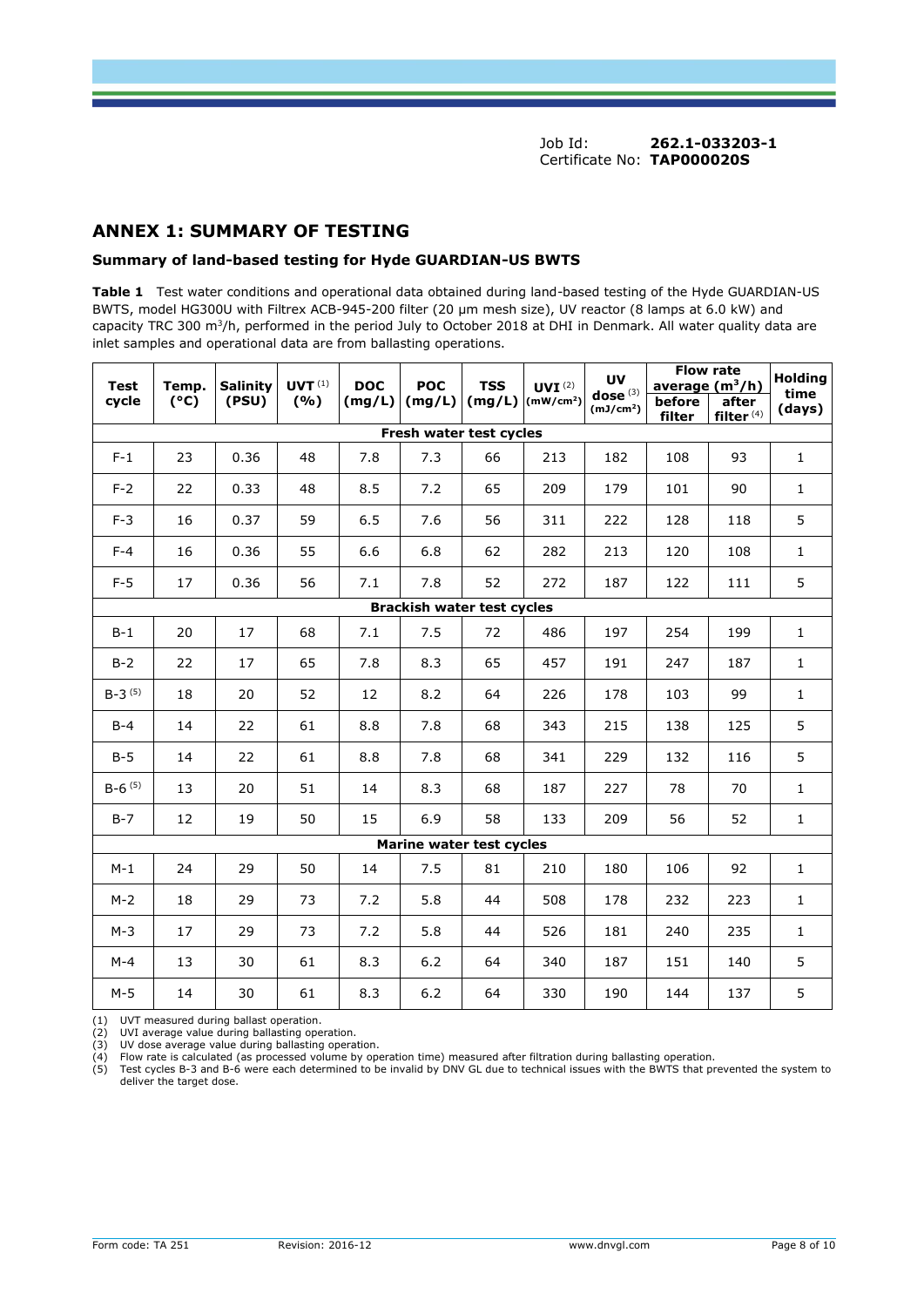## **ANNEX 1: SUMMARY OF TESTING**

#### **Summary of land-based testing for Hyde GUARDIAN-US BWTS**

**Table 1** Test water conditions and operational data obtained during land-based testing of the Hyde GUARDIAN-US BWTS, model HG300U with Filtrex ACB-945-200 filter (20 µm mesh size), UV reactor (8 lamps at 6.0 kW) and capacity TRC 300  $m^3/h$ , performed in the period July to October 2018 at DHI in Denmark. All water quality data are inlet samples and operational data are from ballasting operations.

| <b>Test</b><br>Temp.    |      | <b>Salinity</b> |     |        | $UVT^{(1)}$                       | <b>DOC</b> | <b>POC</b>                     | <b>TSS</b>                          | UVI <sup>(2)</sup> | <b>UV</b>             |                | <b>Flow rate</b><br>average $(m^3/h)$ | <b>Holding</b> |
|-------------------------|------|-----------------|-----|--------|-----------------------------------|------------|--------------------------------|-------------------------------------|--------------------|-----------------------|----------------|---------------------------------------|----------------|
| cycle                   | (°C) | (PSU)           | (%) | (mg/L) | (mg/L)                            |            | $(mg/L)$ (mW/cm <sup>2</sup> ) | dose $(3)$<br>(mJ/cm <sup>2</sup> ) | before<br>filter   | after<br>filter $(4)$ | time<br>(days) |                                       |                |
| Fresh water test cycles |      |                 |     |        |                                   |            |                                |                                     |                    |                       |                |                                       |                |
| $F-1$                   | 23   | 0.36            | 48  | 7.8    | 7.3                               | 66         | 213                            | 182                                 | 108                | 93                    | $\mathbf{1}$   |                                       |                |
| $F-2$                   | 22   | 0.33            | 48  | 8.5    | 7.2                               | 65         | 209                            | 179                                 | 101                | 90                    | $\mathbf{1}$   |                                       |                |
| $F-3$                   | 16   | 0.37            | 59  | 6.5    | 7.6                               | 56         | 311                            | 222                                 | 128                | 118                   | 5              |                                       |                |
| $F-4$                   | 16   | 0.36            | 55  | 6.6    | 6.8                               | 62         | 282                            | 213                                 | 120                | 108                   | $\mathbf{1}$   |                                       |                |
| $F-5$                   | 17   | 0.36            | 56  | 7.1    | 7.8                               | 52         | 272                            | 187                                 | 122                | 111                   | 5              |                                       |                |
|                         |      |                 |     |        | <b>Brackish water test cycles</b> |            |                                |                                     |                    |                       |                |                                       |                |
| $B-1$                   | 20   | 17              | 68  | 7.1    | 7.5                               | 72         | 486                            | 197                                 | 254                | 199                   | $\mathbf{1}$   |                                       |                |
| $B-2$                   | 22   | 17              | 65  | 7.8    | 8.3                               | 65         | 457                            | 191                                 | 247                | 187                   | $\mathbf{1}$   |                                       |                |
| $B-3^{(5)}$             | 18   | 20              | 52  | 12     | 8.2                               | 64         | 226                            | 178                                 | 103                | 99                    | $\mathbf{1}$   |                                       |                |
| $B-4$                   | 14   | 22              | 61  | 8.8    | 7.8                               | 68         | 343                            | 215                                 | 138                | 125                   | 5              |                                       |                |
| $B-5$                   | 14   | 22              | 61  | 8.8    | 7.8                               | 68         | 341                            | 229                                 | 132                | 116                   | 5              |                                       |                |
| $B-6^{(5)}$             | 13   | 20              | 51  | 14     | 8.3                               | 68         | 187                            | 227                                 | 78                 | 70                    | $\mathbf{1}$   |                                       |                |
| $B-7$                   | 12   | 19              | 50  | 15     | 6.9                               | 58         | 133                            | 209                                 | 56                 | 52                    | $\mathbf{1}$   |                                       |                |
|                         |      |                 |     |        | Marine water test cycles          |            |                                |                                     |                    |                       |                |                                       |                |
| $M-1$                   | 24   | 29              | 50  | 14     | 7.5                               | 81         | 210                            | 180                                 | 106                | 92                    | $\mathbf{1}$   |                                       |                |
| $M-2$                   | 18   | 29              | 73  | 7.2    | 5.8                               | 44         | 508                            | 178                                 | 232                | 223                   | $\mathbf{1}$   |                                       |                |
| $M-3$                   | 17   | 29              | 73  | 7.2    | 5.8                               | 44         | 526                            | 181                                 | 240                | 235                   | $\mathbf 1$    |                                       |                |
| $M-4$                   | 13   | 30              | 61  | 8.3    | $6.2$                             | 64         | 340                            | 187                                 | 151                | 140                   | 5              |                                       |                |
| $M-5$                   | 14   | 30              | 61  | 8.3    | $6.2$                             | 64         | 330                            | 190                                 | 144                | 137                   | 5              |                                       |                |

(1) UVT measured during ballast operation.<br>(2) UVI average value during to the operation.

UVI average value during ballasting operation.

(3) UV dose average value during ballasting operation.<br>
(4) Flow rate is calculated (as processed volume by operation.<br>
(5) Test cycles B-3 and B-6 were each determined to b

(4) Flow rate is calculated (as processed volume by operation time) measured after filtration during ballasting operation.<br>(5) Test cycles B-3 and B-6 were each determined to be invalid by DNV GL due to technical issues wi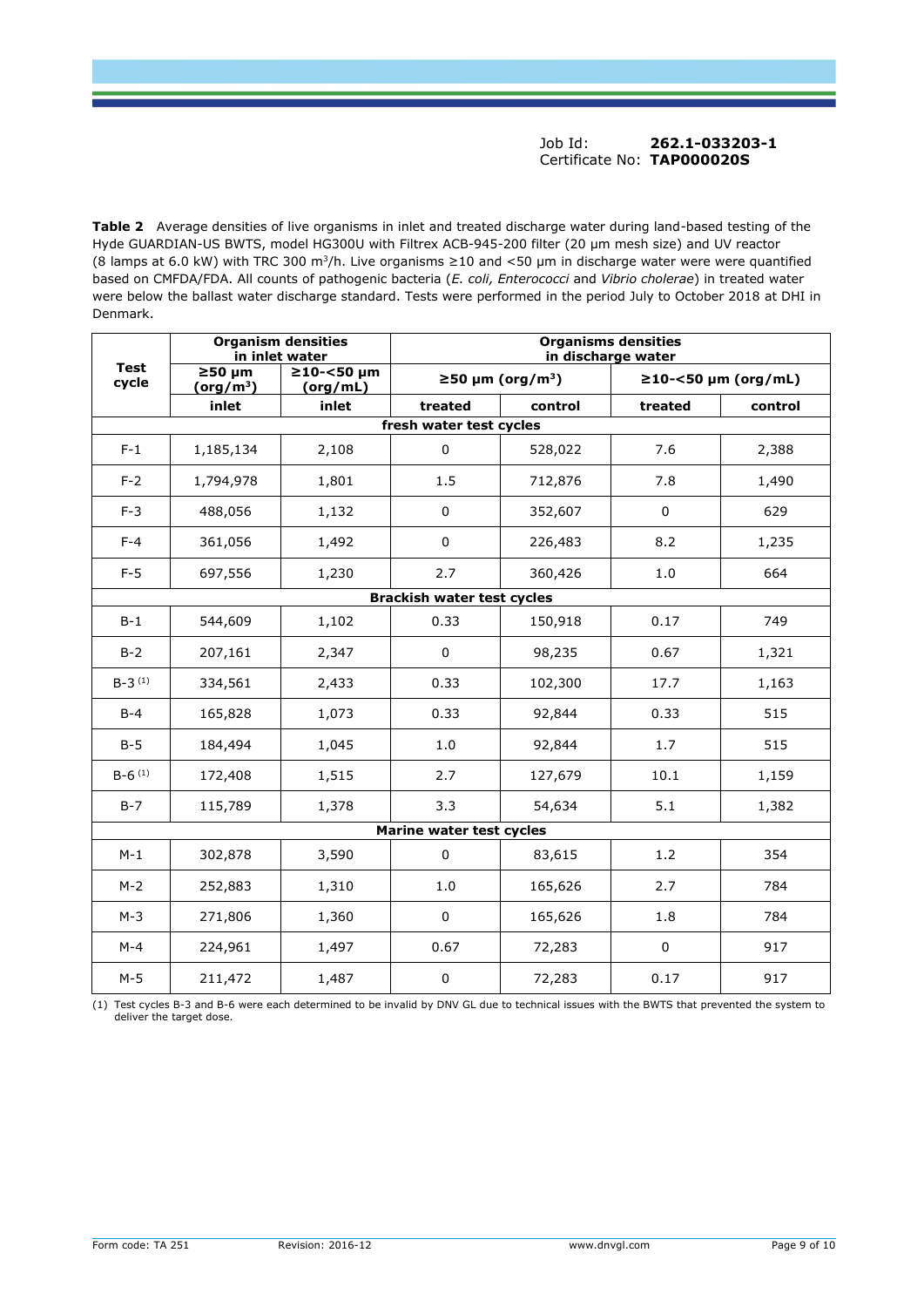**Table 2** Average densities of live organisms in inlet and treated discharge water during land-based testing of the Hyde GUARDIAN-US BWTS, model HG300U with Filtrex ACB-945-200 filter (20 µm mesh size) and UV reactor (8 lamps at 6.0 kW) with TRC 300 m<sup>3</sup>/h. Live organisms  $\geq$ 10 and <50 µm in discharge water were were quantified based on CMFDA/FDA. All counts of pathogenic bacteria (*E. coli, Enterococci* and *Vibrio cholerae*) in treated water were below the ballast water discharge standard. Tests were performed in the period July to October 2018 at DHI in Denmark.

| <b>Organism densities</b><br>in inlet water |                                      |                        | <b>Organisms densities</b><br>in discharge water |                                    |             |                           |  |  |  |
|---------------------------------------------|--------------------------------------|------------------------|--------------------------------------------------|------------------------------------|-------------|---------------------------|--|--|--|
| <b>Test</b><br>cycle                        | $≥50 \mu m$<br>(org/m <sup>3</sup> ) | ≥10-<50 µm<br>(org/mL) |                                                  | $\geq$ 50 µm (org/m <sup>3</sup> ) |             | $\geq$ 10-<50 µm (org/mL) |  |  |  |
|                                             | inlet                                | inlet                  | treated                                          | control                            | treated     | control                   |  |  |  |
|                                             |                                      |                        | fresh water test cycles                          |                                    |             |                           |  |  |  |
| $F-1$                                       | 1,185,134                            | 2,108                  | $\mathbf 0$                                      | 528,022                            | 7.6         | 2,388                     |  |  |  |
| $F-2$                                       | 1,794,978                            | 1,801                  | 1.5                                              | 712,876                            | 7.8         | 1,490                     |  |  |  |
| $F-3$                                       | 488,056                              | 1,132                  | 0                                                | 352,607                            | 0           | 629                       |  |  |  |
| $F-4$                                       | 361,056                              | 1,492                  | $\mathbf 0$                                      | 226,483                            | 8.2         | 1,235                     |  |  |  |
| $F-5$                                       | 697,556                              | 1,230                  | 2.7                                              | 360,426                            | 1.0         | 664                       |  |  |  |
|                                             |                                      |                        | <b>Brackish water test cycles</b>                |                                    |             |                           |  |  |  |
| $B-1$                                       | 544,609                              | 1,102                  | 0.33                                             | 150,918                            |             | 749                       |  |  |  |
| $B-2$                                       | 207,161                              | 2,347                  | $\mathbf 0$<br>98,235                            |                                    | 0.67        | 1,321                     |  |  |  |
| $B-3^{(1)}$                                 | 334,561                              | 2,433                  | 0.33                                             | 102,300                            | 17.7        | 1,163                     |  |  |  |
| $B-4$                                       | 165,828                              | 1,073                  | 0.33                                             | 92,844                             | 0.33        | 515                       |  |  |  |
| $B-5$                                       | 184,494                              | 1,045                  | 1.0                                              | 92,844                             | 1.7         | 515                       |  |  |  |
| $B-6^{(1)}$                                 | 172,408                              | 1,515                  | 2.7                                              | 127,679                            | 10.1        | 1,159                     |  |  |  |
| $B-7$                                       | 115,789                              | 1,378                  | 3.3                                              | 54,634                             | 5.1         | 1,382                     |  |  |  |
|                                             |                                      |                        | Marine water test cycles                         |                                    |             |                           |  |  |  |
| $M-1$                                       | 302,878                              | 3,590                  | $\Omega$                                         | 83,615                             | 1.2         | 354                       |  |  |  |
| $M-2$                                       | 252,883                              | 1,310                  | 1.0                                              | 165,626                            | 2.7         | 784                       |  |  |  |
| $M-3$                                       | 271,806                              | 1,360                  | $\mathbf 0$                                      | 165,626                            | 1.8         | 784                       |  |  |  |
| $M-4$                                       | 224,961                              | 1,497                  | 0.67                                             | 72,283                             | $\mathbf 0$ | 917                       |  |  |  |
| $M-5$                                       | 211,472                              | 1,487                  | $\pmb{0}$                                        | 72,283                             | 0.17        | 917                       |  |  |  |

(1) Test cycles B-3 and B-6 were each determined to be invalid by DNV GL due to technical issues with the BWTS that prevented the system to deliver the target dose.